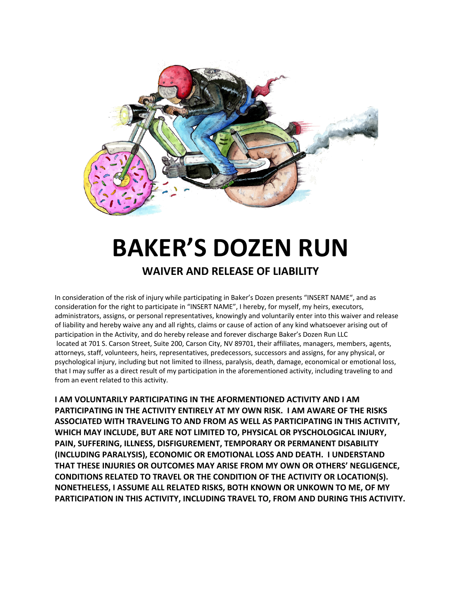

## **BAKER'S DOZEN RUN**

## **WAIVER AND RELEASE OF LIABILITY**

In consideration of the risk of injury while participating in Baker's Dozen presents "INSERT NAME", and as consideration for the right to participate in "INSERT NAME", I hereby, for myself, my heirs, executors, administrators, assigns, or personal representatives, knowingly and voluntarily enter into this waiver and release of liability and hereby waive any and all rights, claims or cause of action of any kind whatsoever arising out of participation in the Activity, and do hereby release and forever discharge Baker's Dozen Run LLC located at 701 S. Carson Street, Suite 200, Carson City, NV 89701, their affiliates, managers, members, agents, attorneys, staff, volunteers, heirs, representatives, predecessors, successors and assigns, for any physical, or psychological injury, including but not limited to illness, paralysis, death, damage, economical or emotional loss, that I may suffer as a direct result of my participation in the aforementioned activity, including traveling to and from an event related to this activity.

**I AM VOLUNTARILY PARTICIPATING IN THE AFORMENTIONED ACTIVITY AND I AM PARTICIPATING IN THE ACTIVITY ENTIRELY AT MY OWN RISK. I AM AWARE OF THE RISKS ASSOCIATED WITH TRAVELING TO AND FROM AS WELL AS PARTICIPATING IN THIS ACTIVITY, WHICH MAY INCLUDE, BUT ARE NOT LIMITED TO, PHYSICAL OR PYSCHOLOGICAL INJURY, PAIN, SUFFERING, ILLNESS, DISFIGUREMENT, TEMPORARY OR PERMANENT DISABILITY (INCLUDING PARALYSIS), ECONOMIC OR EMOTIONAL LOSS AND DEATH. I UNDERSTAND THAT THESE INJURIES OR OUTCOMES MAY ARISE FROM MY OWN OR OTHERS' NEGLIGENCE, CONDITIONS RELATED TO TRAVEL OR THE CONDITION OF THE ACTIVITY OR LOCATION(S). NONETHELESS, I ASSUME ALL RELATED RISKS, BOTH KNOWN OR UNKOWN TO ME, OF MY PARTICIPATION IN THIS ACTIVITY, INCLUDING TRAVEL TO, FROM AND DURING THIS ACTIVITY.**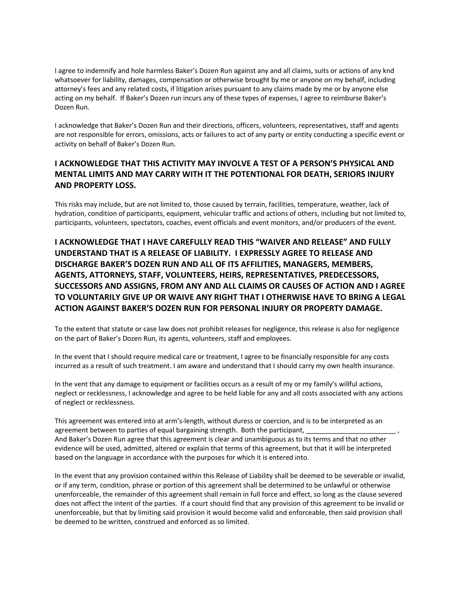I agree to indemnify and hole harmless Baker's Dozen Run against any and all claims, suits or actions of any knd whatsoever for liability, damages, compensation or otherwise brought by me or anyone on my behalf, including attorney's fees and any related costs, if litigation arises pursuant to any claims made by me or by anyone else acting on my behalf. If Baker's Dozen run incurs any of these types of expenses, I agree to reimburse Baker's Dozen Run.

I acknowledge that Baker's Dozen Run and their directions, officers, volunteers, representatives, staff and agents are not responsible for errors, omissions, acts or failures to act of any party or entity conducting a specific event or activity on behalf of Baker's Dozen Run.

## **I ACKNOWLEDGE THAT THIS ACTIVITY MAY INVOLVE A TEST OF A PERSON'S PHYSICAL AND MENTAL LIMITS AND MAY CARRY WITH IT THE POTENTIONAL FOR DEATH, SERIORS INJURY AND PROPERTY LOSS.**

This risks may include, but are not limited to, those caused by terrain, facilities, temperature, weather, lack of hydration, condition of participants, equipment, vehicular traffic and actions of others, including but not limited to, participants, volunteers, spectators, coaches, event officials and event monitors, and/or producers of the event.

**I ACKNOWLEDGE THAT I HAVE CAREFULLY READ THIS "WAIVER AND RELEASE" AND FULLY UNDERSTAND THAT IS A RELEASE OF LIABILITY. I EXPRESSLY AGREE TO RELEASE AND DISCHARGE BAKER'S DOZEN RUN AND ALL OF ITS AFFILITIES, MANAGERS, MEMBERS, AGENTS, ATTORNEYS, STAFF, VOLUNTEERS, HEIRS, REPRESENTATIVES, PREDECESSORS, SUCCESSORS AND ASSIGNS, FROM ANY AND ALL CLAIMS OR CAUSES OF ACTION AND I AGREE TO VOLUNTARILY GIVE UP OR WAIVE ANY RIGHT THAT I OTHERWISE HAVE TO BRING A LEGAL ACTION AGAINST BAKER'S DOZEN RUN FOR PERSONAL INJURY OR PROPERTY DAMAGE.**

To the extent that statute or case law does not prohibit releases for negligence, this release is also for negligence on the part of Baker's Dozen Run, its agents, volunteers, staff and employees.

In the event that I should require medical care or treatment, I agree to be financially responsible for any costs incurred as a result of such treatment. I am aware and understand that I should carry my own health insurance.

In the vent that any damage to equipment or facilities occurs as a result of my or my family's willful actions, neglect or recklessness, I acknowledge and agree to be held liable for any and all costs associated with any actions of neglect or recklessness.

This agreement was entered into at arm's-length, without duress or coercion, and is to be interpreted as an agreement between to parties of equal bargaining strength. Both the participant, And Baker's Dozen Run agree that this agreement is clear and unambiguous as to its terms and that no other evidence will be used, admitted, altered or explain that terms of this agreement, but that it will be interpreted based on the language in accordance with the purposes for which it is entered into.

In the event that any provision contained within this Release of Liability shall be deemed to be severable or invalid, or if any term, condition, phrase or portion of this agreement shall be determined to be unlawful or otherwise unenforceable, the remainder of this agreement shall remain in full force and effect, so long as the clause severed does not affect the intent of the parties. If a court should find that any provision of this agreement to be invalid or unenforceable, but that by limiting said provision it would become valid and enforceable, then said provision shall be deemed to be written, construed and enforced as so limited.